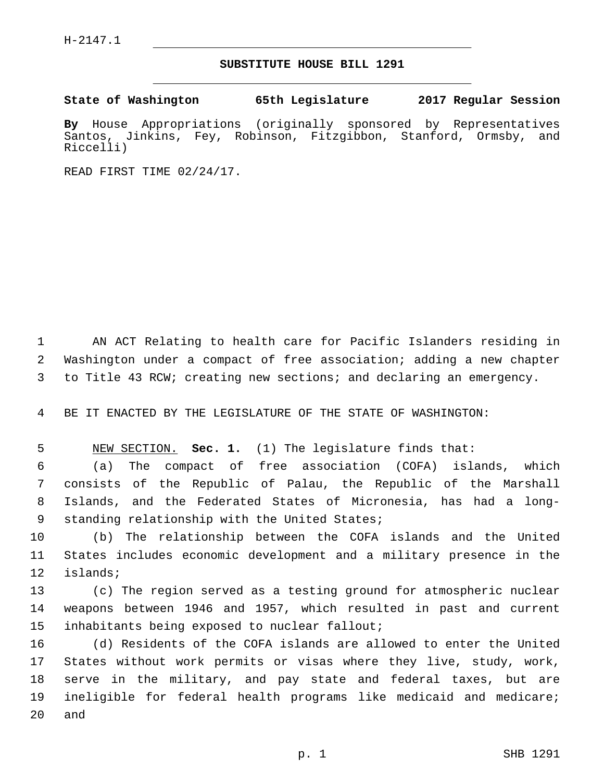H-2147.1

## **SUBSTITUTE HOUSE BILL 1291**

**State of Washington 65th Legislature 2017 Regular Session**

**By** House Appropriations (originally sponsored by Representatives Santos, Jinkins, Fey, Robinson, Fitzgibbon, Stanford, Ormsby, and Riccelli)

READ FIRST TIME 02/24/17.

1 AN ACT Relating to health care for Pacific Islanders residing in 2 Washington under a compact of free association; adding a new chapter 3 to Title 43 RCW; creating new sections; and declaring an emergency.

4 BE IT ENACTED BY THE LEGISLATURE OF THE STATE OF WASHINGTON:

5 NEW SECTION. **Sec. 1.** (1) The legislature finds that:

 (a) The compact of free association (COFA) islands, which consists of the Republic of Palau, the Republic of the Marshall Islands, and the Federated States of Micronesia, has had a long-9 standing relationship with the United States;

10 (b) The relationship between the COFA islands and the United 11 States includes economic development and a military presence in the 12 islands;

13 (c) The region served as a testing ground for atmospheric nuclear 14 weapons between 1946 and 1957, which resulted in past and current 15 inhabitants being exposed to nuclear fallout;

 (d) Residents of the COFA islands are allowed to enter the United States without work permits or visas where they live, study, work, serve in the military, and pay state and federal taxes, but are ineligible for federal health programs like medicaid and medicare; 20 and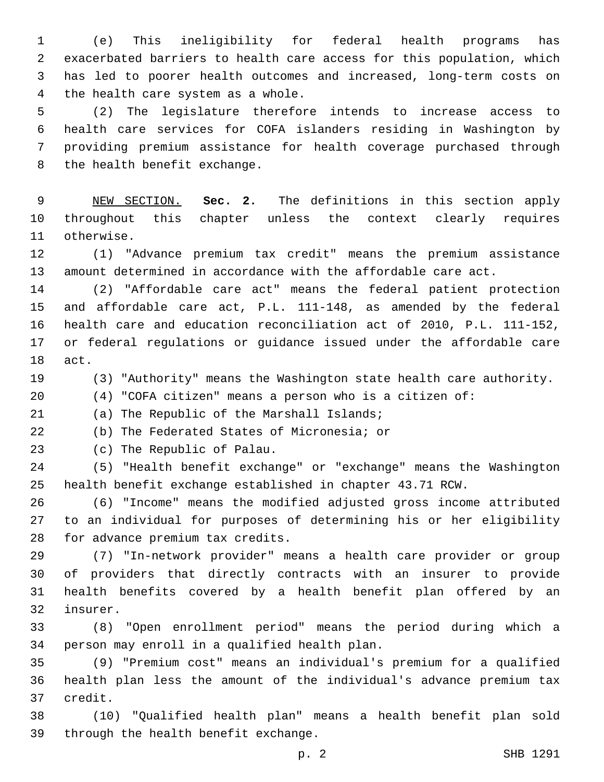(e) This ineligibility for federal health programs has exacerbated barriers to health care access for this population, which has led to poorer health outcomes and increased, long-term costs on 4 the health care system as a whole.

 (2) The legislature therefore intends to increase access to health care services for COFA islanders residing in Washington by providing premium assistance for health coverage purchased through 8 the health benefit exchange.

 NEW SECTION. **Sec. 2.** The definitions in this section apply throughout this chapter unless the context clearly requires otherwise.

 (1) "Advance premium tax credit" means the premium assistance amount determined in accordance with the affordable care act.

 (2) "Affordable care act" means the federal patient protection and affordable care act, P.L. 111-148, as amended by the federal health care and education reconciliation act of 2010, P.L. 111-152, or federal regulations or guidance issued under the affordable care 18 act.

(3) "Authority" means the Washington state health care authority.

(4) "COFA citizen" means a person who is a citizen of:

21 (a) The Republic of the Marshall Islands;

(b) The Federated States of Micronesia; or

23 (c) The Republic of Palau.

 (5) "Health benefit exchange" or "exchange" means the Washington health benefit exchange established in chapter 43.71 RCW.

 (6) "Income" means the modified adjusted gross income attributed to an individual for purposes of determining his or her eligibility 28 for advance premium tax credits.

 (7) "In-network provider" means a health care provider or group of providers that directly contracts with an insurer to provide health benefits covered by a health benefit plan offered by an 32 insurer.

 (8) "Open enrollment period" means the period during which a 34 person may enroll in a qualified health plan.

 (9) "Premium cost" means an individual's premium for a qualified health plan less the amount of the individual's advance premium tax 37 credit.

 (10) "Qualified health plan" means a health benefit plan sold 39 through the health benefit exchange.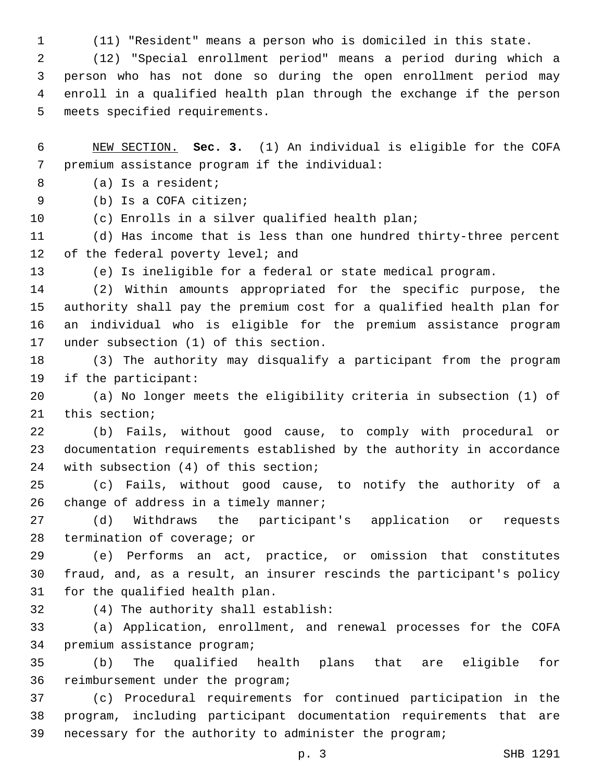(11) "Resident" means a person who is domiciled in this state.

 (12) "Special enrollment period" means a period during which a person who has not done so during the open enrollment period may enroll in a qualified health plan through the exchange if the person 5 meets specified requirements.

 NEW SECTION. **Sec. 3.** (1) An individual is eligible for the COFA premium assistance program if the individual:

(a) Is a resident;8

9 (b) Is a COFA citizen;

(c) Enrolls in a silver qualified health plan;

 (d) Has income that is less than one hundred thirty-three percent 12 of the federal poverty level; and

(e) Is ineligible for a federal or state medical program.

 (2) Within amounts appropriated for the specific purpose, the authority shall pay the premium cost for a qualified health plan for an individual who is eligible for the premium assistance program 17 under subsection (1) of this section.

 (3) The authority may disqualify a participant from the program 19 if the participant:

 (a) No longer meets the eligibility criteria in subsection (1) of 21 this section;

 (b) Fails, without good cause, to comply with procedural or documentation requirements established by the authority in accordance 24 with subsection (4) of this section;

 (c) Fails, without good cause, to notify the authority of a 26 change of address in a timely manner;

 (d) Withdraws the participant's application or requests 28 termination of coverage; or

 (e) Performs an act, practice, or omission that constitutes fraud, and, as a result, an insurer rescinds the participant's policy 31 for the qualified health plan.

(4) The authority shall establish:32

 (a) Application, enrollment, and renewal processes for the COFA 34 premium assistance program;

 (b) The qualified health plans that are eligible for 36 reimbursement under the program;

 (c) Procedural requirements for continued participation in the program, including participant documentation requirements that are necessary for the authority to administer the program;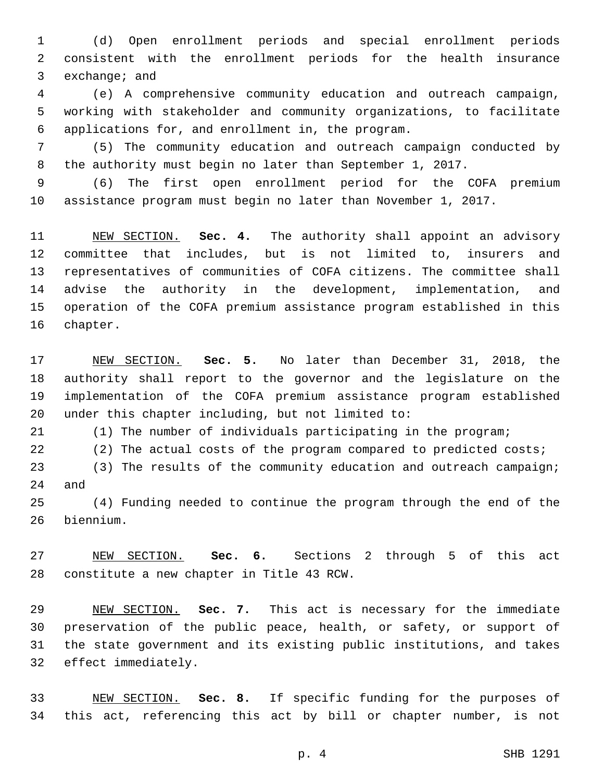(d) Open enrollment periods and special enrollment periods consistent with the enrollment periods for the health insurance 3 exchange; and

 (e) A comprehensive community education and outreach campaign, working with stakeholder and community organizations, to facilitate applications for, and enrollment in, the program.6

 (5) The community education and outreach campaign conducted by the authority must begin no later than September 1, 2017.

 (6) The first open enrollment period for the COFA premium assistance program must begin no later than November 1, 2017.

 NEW SECTION. **Sec. 4.** The authority shall appoint an advisory committee that includes, but is not limited to, insurers and representatives of communities of COFA citizens. The committee shall advise the authority in the development, implementation, and operation of the COFA premium assistance program established in this chapter.

 NEW SECTION. **Sec. 5.** No later than December 31, 2018, the authority shall report to the governor and the legislature on the implementation of the COFA premium assistance program established under this chapter including, but not limited to:

(1) The number of individuals participating in the program;

(2) The actual costs of the program compared to predicted costs;

23 (3) The results of the community education and outreach campaign; 24 and

 (4) Funding needed to continue the program through the end of the biennium.26

 NEW SECTION. **Sec. 6.** Sections 2 through 5 of this act constitute a new chapter in Title 43 RCW.

 NEW SECTION. **Sec. 7.** This act is necessary for the immediate preservation of the public peace, health, or safety, or support of the state government and its existing public institutions, and takes effect immediately.

 NEW SECTION. **Sec. 8.** If specific funding for the purposes of this act, referencing this act by bill or chapter number, is not